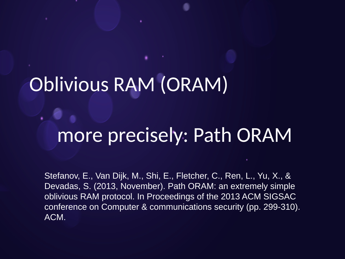## Oblivious RAM (ORAM)

#### more precisely: Path ORAM

Stefanov, E., Van Dijk, M., Shi, E., Fletcher, C., Ren, L., Yu, X., & Devadas, S. (2013, November). Path ORAM: an extremely simple oblivious RAM protocol. In Proceedings of the 2013 ACM SIGSAC conference on Computer & communications security (pp. 299-310). ACM.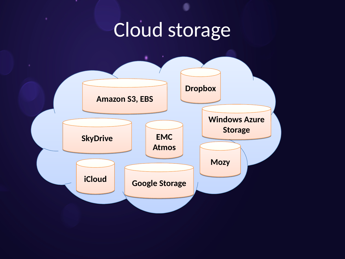## Cloud storage

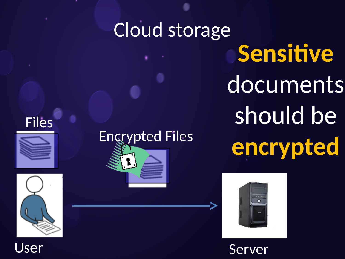# Cloud storage **Sensitive** documents should be **encrypted** Encrypted Files



Jser Server

#### Files



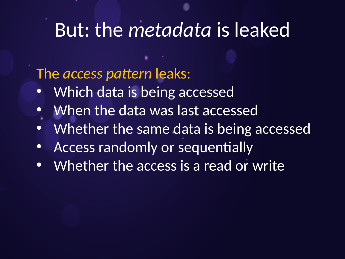#### But: the *metadata* is leaked

The *access pattern* leaks:

- Which data is being accessed
- When the data was last accessed
- Whether the same data is being accessed
- Access randomly or sequentially
- Whether the access is a read or write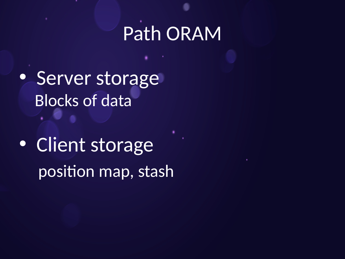- Server storage Blocks of data
- Client storage position map, stash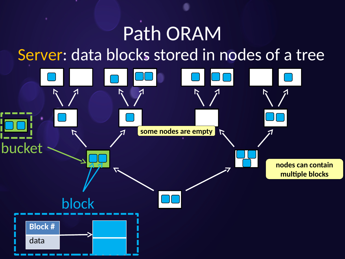#### Path ORAM Server: data blocks stored in nodes of a tree

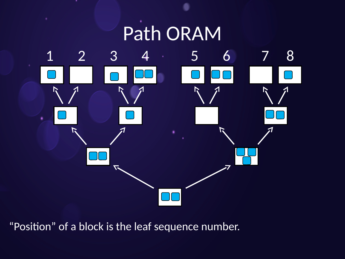

"Position" of a block is the leaf sequence number.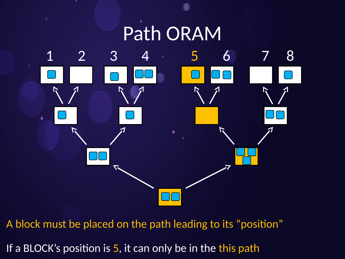

A block must be placed on the path leading to its "position"

If a BLOCK's position is 5, it can only be in the this path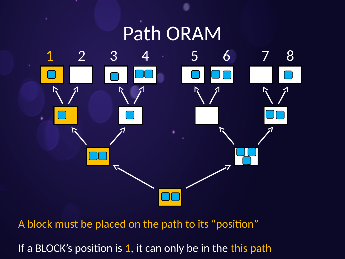

A block must be placed on the path to its "position"

If a BLOCK's position is 1, it can only be in the this path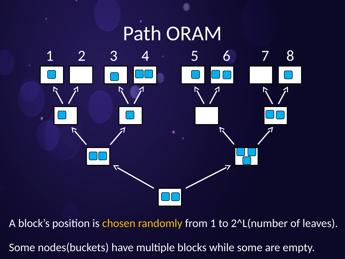

A block's position is chosen randomly from 1 to 2<sup>^</sup>L(number of leaves). Some nodes(buckets) have multiple blocks while some are empty.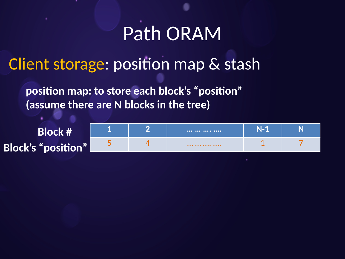Client storage: position map & stash

**position map: to store each block's "position" (assume there are N blocks in the tree)**

**Block # Block's "position" 1 2 … … …. …. N-1 N** 5 4 … … …. …. 1 7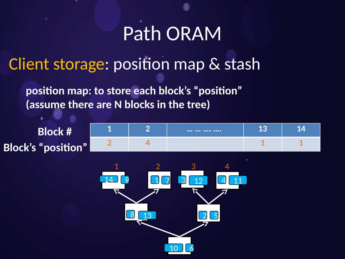Client storage: position map & stash

**position map: to store each block's "position" (assume there are N blocks in the tree)**

**Block # Block's "position" 1 2 … … …. …. 13 14**  $2$  4 4 1 1 1 1 8 13 2 5 14 9 17 <u>13</u> 3 12 4 11 1 2 3 4

<u>10 6</u>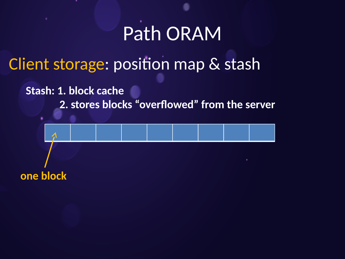#### Client storage: position map & stash

**Stash: 1. block cache**

 **2. stores blocks "overflowed" from the server**

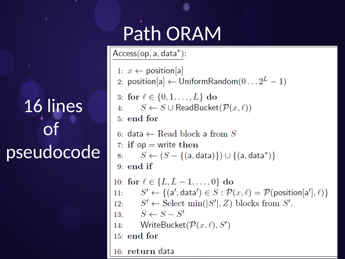## 16 lines of pseudocode

## Path ORAM

 $Access(op, a, data^*)$ :

```
1: x \leftarrow \text{position}[a]2: position[a] \leftarrow UniformRandom(0...2^{L}-1)3: for \ell \in \{0, 1, ..., L\} do
 4: S \leftarrow S \cup \text{ReadBucket}(\mathcal{P}(x,\ell))5: end for
 6: data \leftarrow Read block a from S
 7: if op = write then
 8: S \leftarrow (S - \{(a, data)\}) \cup \{(a, data^*)\}9: end if
10: for \ell \in \{L, L-1, \ldots, 0\} do
         S' \leftarrow \{(\mathsf{a}',\mathsf{data}') \in S : \mathcal{P}(x,\ell) = \mathcal{P}(\mathsf{position}[\mathsf{a}'],\ell)\}\11:12: S' \leftarrow Select min(|S'|, Z) blocks from S'.
13: S \leftarrow S - S'WriteBucket(\mathcal{P}(x,\ell),S')14:
15: end for
16: return data
```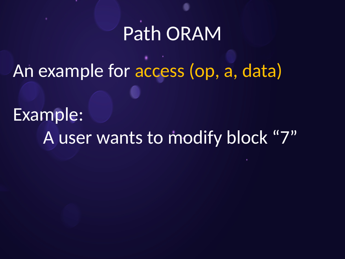An example for access (op, a, data)

Example: A user wants to modify block "7"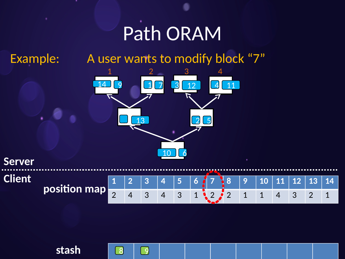Example: A user wants to modify block "7"



**Server Client**



**stash**

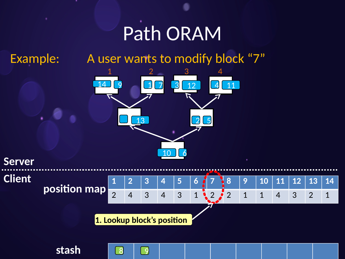**stash**

Example: A user wants to modify block "7"





8 9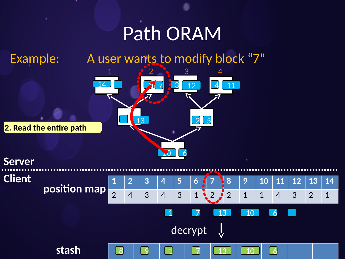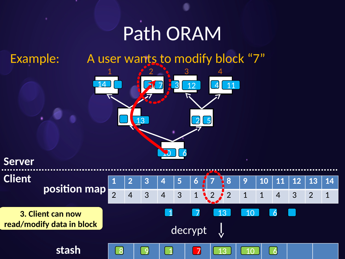Example: A user wants to modify block "7"



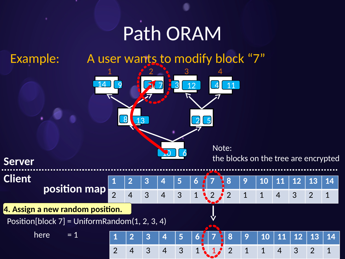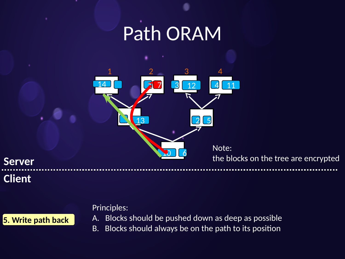

**Server Client**

#### Principles:

**5. Write path back**

A. Blocks should be pushed down as deep as possible

B. Blocks should always be on the path to its position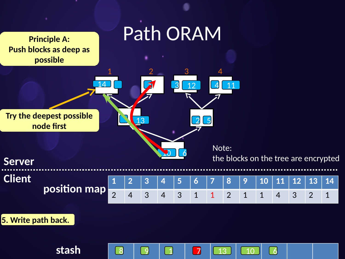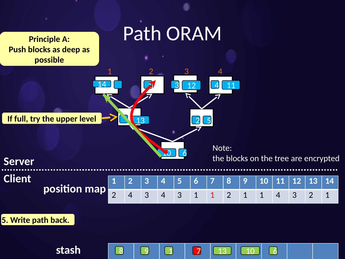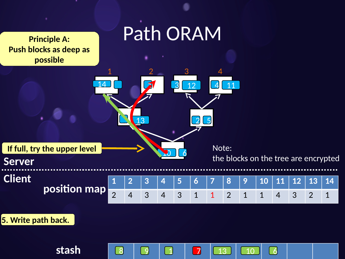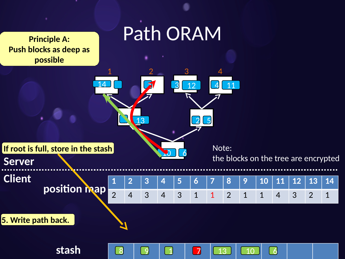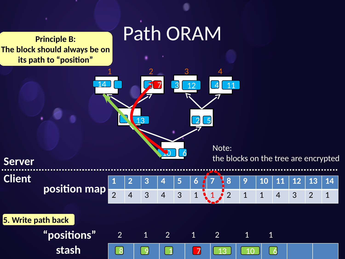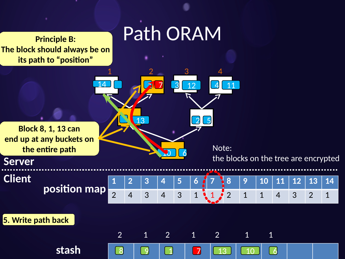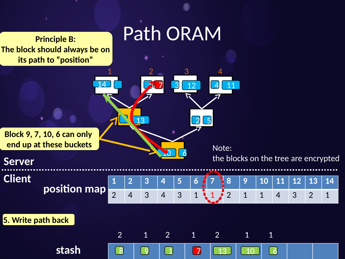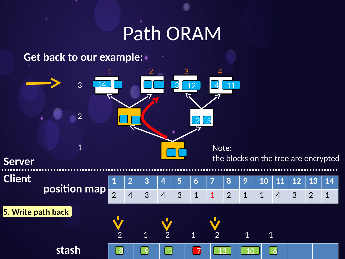**Get back to our example:**

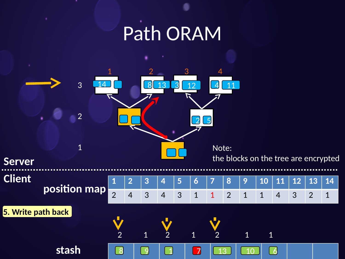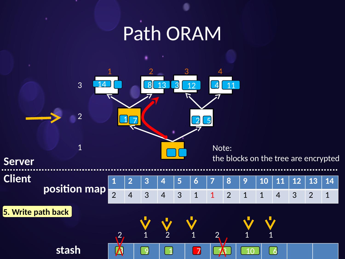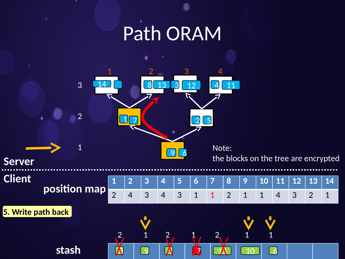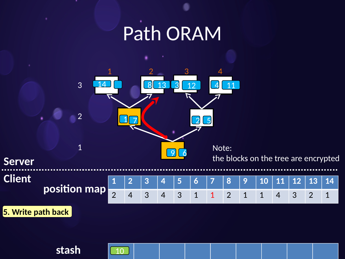

**stash** 10

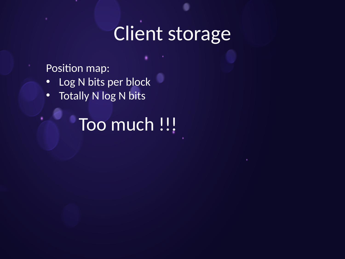## Client storage

Position map:

- Log N bits per block
- Totally N log N bits

Too much !!!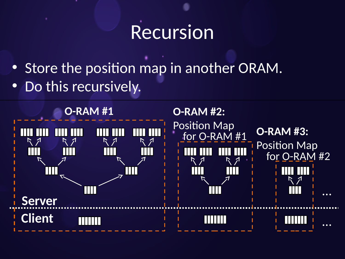#### Recursion

- Store the position map in another ORAM.
- Do this recursively.